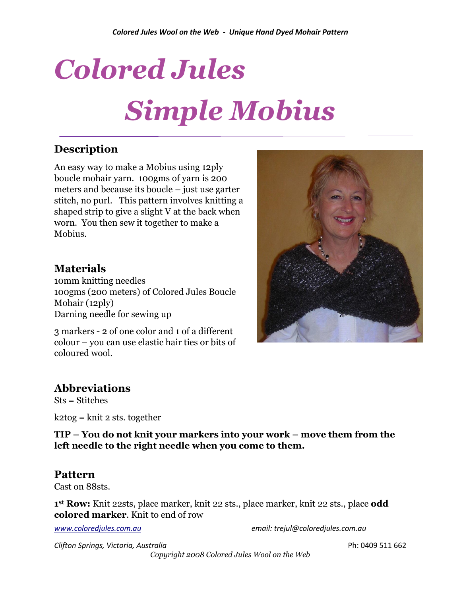# *Colored Jules Simple Mobius*

# **Description**

An easy way to make a Mobius using 12ply boucle mohair yarn. 100gms of yarn is 200 meters and because its boucle – just use garter stitch, no purl. This pattern involves knitting a shaped strip to give a slight V at the back when worn. You then sew it together to make a Mobius.

### **Materials**

10mm knitting needles 100gms (200 meters) of Colored Jules Boucle Mohair (12ply) Darning needle for sewing up

3 markers - 2 of one color and 1 of a different colour – you can use elastic hair ties or bits of coloured wool.

### **Abbreviations**

Sts = Stitches

 $k2tog = knit 2$  sts. together

**TIP – You do not knit your markers into your work – move them from the left needle to the right needle when you come to them.**

#### **Pattern**

Cast on 88sts.

**1 st Row:** Knit 22sts, place marker, knit 22 sts., place marker, knit 22 sts., place **odd colored marker**. Knit to end of row

*[www.coloredjules.com.au](http://www.coloredjules.com.au/) email: trejul@coloredjules.com.au*

*Clifton Springs, Victoria, Australia* Ph: 0409 511 662

*Copyright 2008 Colored Jules Wool on the Web*